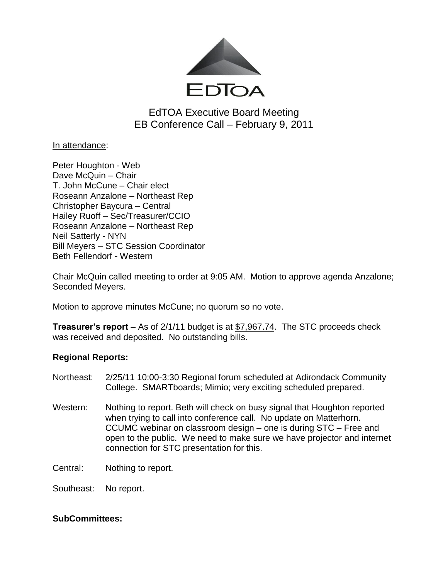

EdTOA Executive Board Meeting EB Conference Call – February 9, 2011

In attendance:

Peter Houghton - Web Dave McQuin – Chair T. John McCune – Chair elect Roseann Anzalone – Northeast Rep Christopher Baycura – Central Hailey Ruoff – Sec/Treasurer/CCIO Roseann Anzalone – Northeast Rep Neil Satterly - NYN Bill Meyers – STC Session Coordinator Beth Fellendorf - Western

Chair McQuin called meeting to order at 9:05 AM. Motion to approve agenda Anzalone; Seconded Meyers.

Motion to approve minutes McCune; no quorum so no vote.

**Treasurer's report** – As of 2/1/11 budget is at \$7,967.74. The STC proceeds check was received and deposited. No outstanding bills.

## **Regional Reports:**

- Northeast: 2/25/11 10:00-3:30 Regional forum scheduled at Adirondack Community College. SMARTboards; Mimio; very exciting scheduled prepared.
- Western: Nothing to report. Beth will check on busy signal that Houghton reported when trying to call into conference call. No update on Matterhorn. CCUMC webinar on classroom design – one is during STC – Free and open to the public. We need to make sure we have projector and internet connection for STC presentation for this.

Central: Nothing to report.

Southeast: No report.

## **SubCommittees:**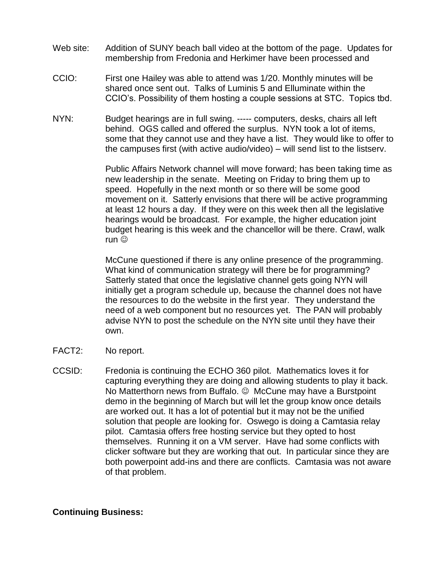- Web site: Addition of SUNY beach ball video at the bottom of the page. Updates for membership from Fredonia and Herkimer have been processed and
- CCIO: First one Hailey was able to attend was 1/20. Monthly minutes will be shared once sent out. Talks of Luminis 5 and Elluminate within the CCIO's. Possibility of them hosting a couple sessions at STC. Topics tbd.
- NYN: Budget hearings are in full swing. ----- computers, desks, chairs all left behind. OGS called and offered the surplus. NYN took a lot of items, some that they cannot use and they have a list. They would like to offer to the campuses first (with active audio/video) – will send list to the listserv.

Public Affairs Network channel will move forward; has been taking time as new leadership in the senate. Meeting on Friday to bring them up to speed. Hopefully in the next month or so there will be some good movement on it. Satterly envisions that there will be active programming at least 12 hours a day. If they were on this week then all the legislative hearings would be broadcast. For example, the higher education joint budget hearing is this week and the chancellor will be there. Crawl, walk run ©

McCune questioned if there is any online presence of the programming. What kind of communication strategy will there be for programming? Satterly stated that once the legislative channel gets going NYN will initially get a program schedule up, because the channel does not have the resources to do the website in the first year. They understand the need of a web component but no resources yet. The PAN will probably advise NYN to post the schedule on the NYN site until they have their own.

- FACT2: No report.
- CCSID: Fredonia is continuing the ECHO 360 pilot. Mathematics loves it for capturing everything they are doing and allowing students to play it back. No Matterthorn news from Buffalo.  $\odot$  McCune may have a Burstpoint demo in the beginning of March but will let the group know once details are worked out. It has a lot of potential but it may not be the unified solution that people are looking for. Oswego is doing a Camtasia relay pilot. Camtasia offers free hosting service but they opted to host themselves. Running it on a VM server. Have had some conflicts with clicker software but they are working that out. In particular since they are both powerpoint add-ins and there are conflicts. Camtasia was not aware of that problem.

## **Continuing Business:**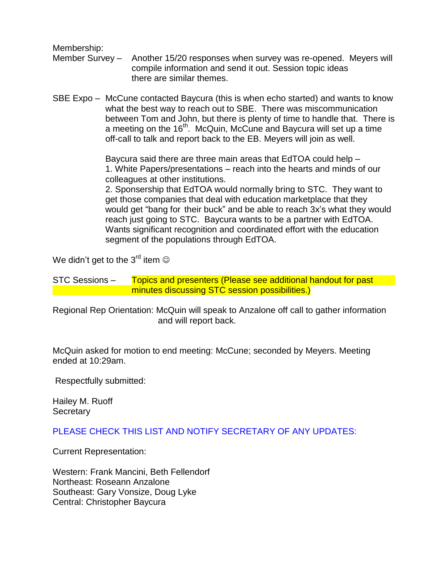Membership:

- Member Survey Another 15/20 responses when survey was re-opened. Meyers will compile information and send it out. Session topic ideas there are similar themes.
- SBE Expo McCune contacted Baycura (this is when echo started) and wants to know what the best way to reach out to SBE. There was miscommunication between Tom and John, but there is plenty of time to handle that. There is a meeting on the 16<sup>th</sup>. McQuin, McCune and Baycura will set up a time off-call to talk and report back to the EB. Meyers will join as well.

Baycura said there are three main areas that EdTOA could help – 1. White Papers/presentations – reach into the hearts and minds of our colleagues at other institutions.

2. Sponsership that EdTOA would normally bring to STC. They want to get those companies that deal with education marketplace that they would get "bang for their buck" and be able to reach 3x's what they would reach just going to STC. Baycura wants to be a partner with EdTOA. Wants significant recognition and coordinated effort with the education segment of the populations through EdTOA.

We didn't get to the  $3^{\text{rd}}$  item  $\odot$ 

STC Sessions – Topics and presenters (Please see additional handout for past minutes discussing STC session possibilities.)

Regional Rep Orientation: McQuin will speak to Anzalone off call to gather information and will report back.

McQuin asked for motion to end meeting: McCune; seconded by Meyers. Meeting ended at 10:29am.

Respectfully submitted:

Hailey M. Ruoff **Secretary** 

PLEASE CHECK THIS LIST AND NOTIFY SECRETARY OF ANY UPDATES:

Current Representation:

Western: Frank Mancini, Beth Fellendorf Northeast: Roseann Anzalone Southeast: Gary Vonsize, Doug Lyke Central: Christopher Baycura